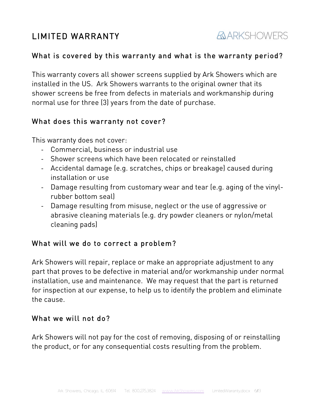# LIMITED WARRANTY

# *AARKSHOWERS*

## What is covered by this warranty and what is the warranty period?

This warranty covers all shower screens supplied by Ark Showers which are installed in the US. Ark Showers warrants to the original owner that its shower screens be free from defects in materials and workmanship during normal use for three (3) years from the date of purchase.

### What does this warranty not cover?

This warranty does not cover:

- Commercial, business or industrial use
- Shower screens which have been relocated or reinstalled
- Accidental damage (e.g. scratches, chips or breakage) caused during installation or use
- Damage resulting from customary wear and tear (e.g. aging of the vinylrubber bottom seal)
- Damage resulting from misuse, neglect or the use of aggressive or abrasive cleaning materials (e.g. dry powder cleaners or nylon/metal cleaning pads)

# What will we do to correct a problem?

Ark Showers will repair, replace or make an appropriate adjustment to any part that proves to be defective in material and/or workmanship under normal installation, use and maintenance. We may request that the part is returned for inspection at our expense, to help us to identify the problem and eliminate the cause.

## What we will not do?

Ark Showers will not pay for the cost of removing, disposing of or reinstalling the product, or for any consequential costs resulting from the problem.